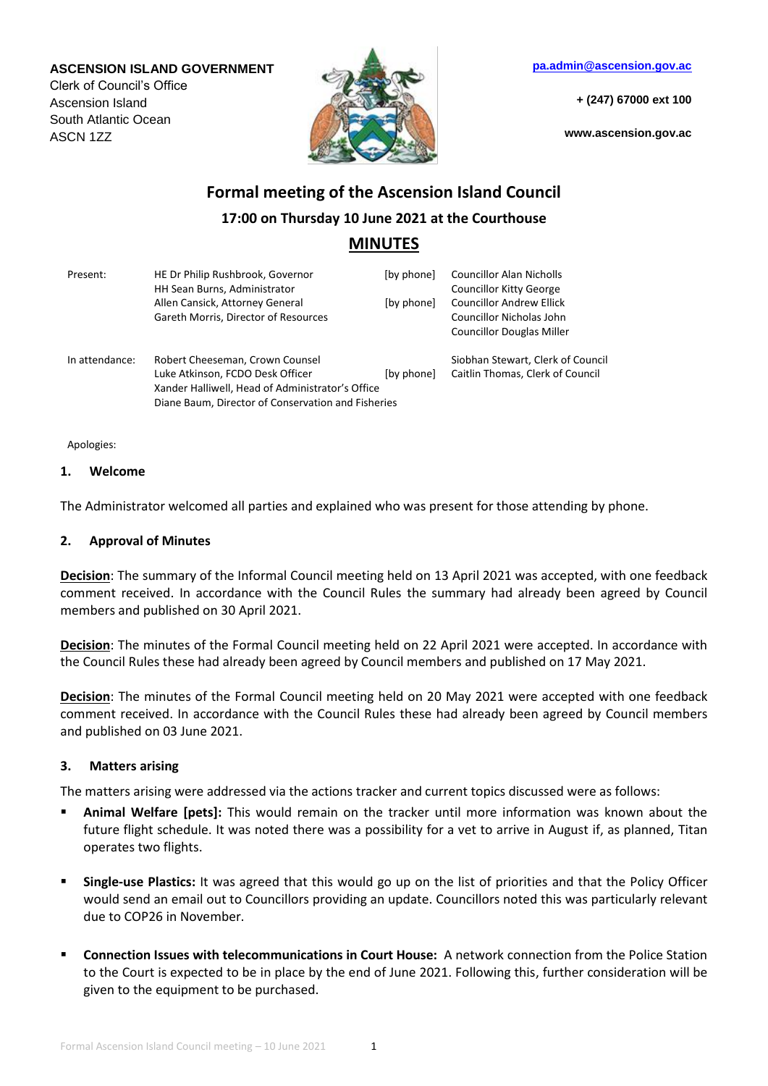### **ASCENSION ISLAND GOVERNMENT**

Clerk of Council's Office Ascension Island South Atlantic Ocean ASCN 1ZZ



**[pa.admin@ascension.gov.ac](mailto:pa.admin@ascension.gov.ac)**

**+ (247) 67000 ext 100**

**www.ascension.gov.ac**

# **Formal meeting of the Ascension Island Council 17:00 on Thursday 10 June 2021 at the Courthouse MINUTES**

| Present:       | HE Dr Philip Rushbrook, Governor<br>HH Sean Burns, Administrator<br>Allen Cansick, Attorney General                                                                           | [by phone]<br>[by phone] | <b>Councillor Alan Nicholls</b><br><b>Councillor Kitty George</b><br><b>Councillor Andrew Ellick</b> |
|----------------|-------------------------------------------------------------------------------------------------------------------------------------------------------------------------------|--------------------------|------------------------------------------------------------------------------------------------------|
|                | Gareth Morris, Director of Resources                                                                                                                                          |                          | Councillor Nicholas John<br><b>Councillor Douglas Miller</b>                                         |
| In attendance: | Robert Cheeseman, Crown Counsel<br>Luke Atkinson, FCDO Desk Officer<br>Xander Halliwell, Head of Administrator's Office<br>Diane Baum, Director of Conservation and Fisheries | [by phone]               | Siobhan Stewart, Clerk of Council<br>Caitlin Thomas, Clerk of Council                                |

Apologies:

#### **1. Welcome**

The Administrator welcomed all parties and explained who was present for those attending by phone.

### **2. Approval of Minutes**

**Decision**: The summary of the Informal Council meeting held on 13 April 2021 was accepted, with one feedback comment received. In accordance with the Council Rules the summary had already been agreed by Council members and published on 30 April 2021.

**Decision**: The minutes of the Formal Council meeting held on 22 April 2021 were accepted. In accordance with the Council Rules these had already been agreed by Council members and published on 17 May 2021.

**Decision**: The minutes of the Formal Council meeting held on 20 May 2021 were accepted with one feedback comment received. In accordance with the Council Rules these had already been agreed by Council members and published on 03 June 2021.

## **3. Matters arising**

The matters arising were addressed via the actions tracker and current topics discussed were as follows:

- **Animal Welfare [pets]:** This would remain on the tracker until more information was known about the future flight schedule. It was noted there was a possibility for a vet to arrive in August if, as planned, Titan operates two flights.
- **Single-use Plastics:** It was agreed that this would go up on the list of priorities and that the Policy Officer would send an email out to Councillors providing an update. Councillors noted this was particularly relevant due to COP26 in November.
- **Connection Issues with telecommunications in Court House:** A network connection from the Police Station to the Court is expected to be in place by the end of June 2021. Following this, further consideration will be given to the equipment to be purchased.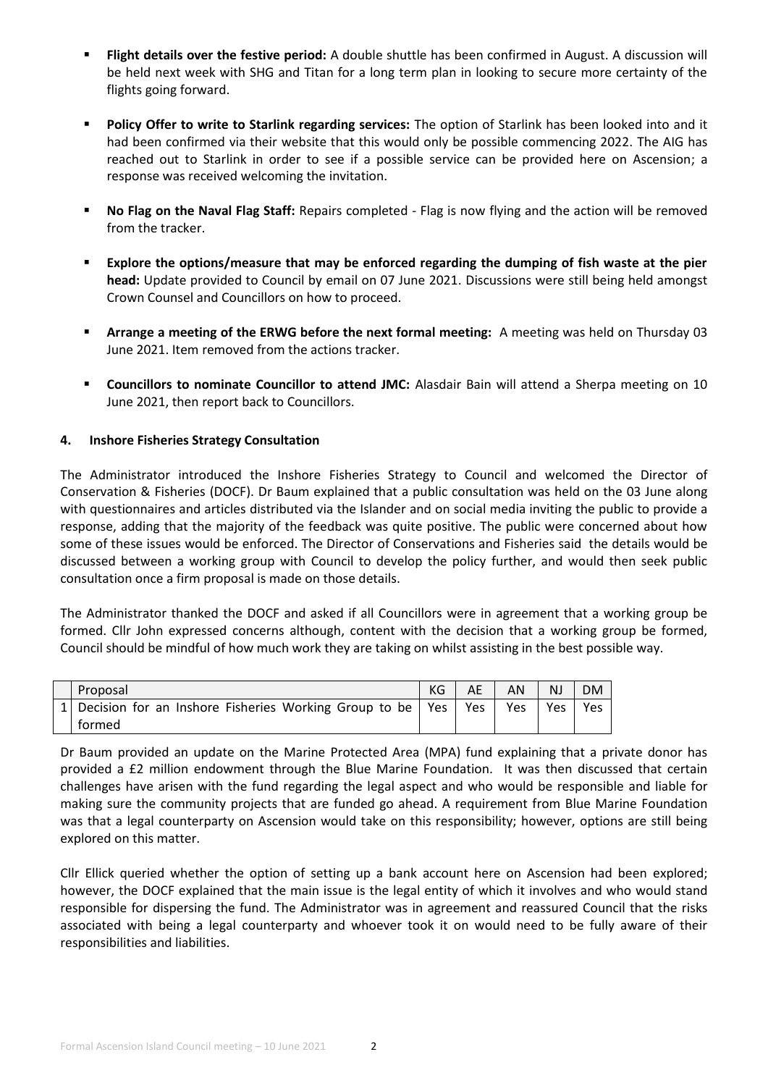- **Flight details over the festive period:** A double shuttle has been confirmed in August. A discussion will be held next week with SHG and Titan for a long term plan in looking to secure more certainty of the flights going forward.
- **Policy Offer to write to Starlink regarding services:** The option of Starlink has been looked into and it had been confirmed via their website that this would only be possible commencing 2022. The AIG has reached out to Starlink in order to see if a possible service can be provided here on Ascension; a response was received welcoming the invitation.
- **No Flag on the Naval Flag Staff:** Repairs completed Flag is now flying and the action will be removed from the tracker.
- **Explore the options/measure that may be enforced regarding the dumping of fish waste at the pier head:** Update provided to Council by email on 07 June 2021. Discussions were still being held amongst Crown Counsel and Councillors on how to proceed.
- **Arrange a meeting of the ERWG before the next formal meeting:** A meeting was held on Thursday 03 June 2021. Item removed from the actions tracker.
- **Councillors to nominate Councillor to attend JMC:** Alasdair Bain will attend a Sherpa meeting on 10 June 2021, then report back to Councillors.

# **4. Inshore Fisheries Strategy Consultation**

The Administrator introduced the Inshore Fisheries Strategy to Council and welcomed the Director of Conservation & Fisheries (DOCF). Dr Baum explained that a public consultation was held on the 03 June along with questionnaires and articles distributed via the Islander and on social media inviting the public to provide a response, adding that the majority of the feedback was quite positive. The public were concerned about how some of these issues would be enforced. The Director of Conservations and Fisheries said the details would be discussed between a working group with Council to develop the policy further, and would then seek public consultation once a firm proposal is made on those details.

The Administrator thanked the DOCF and asked if all Councillors were in agreement that a working group be formed. Cllr John expressed concerns although, content with the decision that a working group be formed, Council should be mindful of how much work they are taking on whilst assisting in the best possible way.

| Proposal                                                      |     | AN  | <b>NJ</b> | <b>DM</b> |
|---------------------------------------------------------------|-----|-----|-----------|-----------|
| 1 Decision for an Inshore Fisheries Working Group to be   Yes | Yes | Yes | Yes       | Yes       |
| tormed                                                        |     |     |           |           |

Dr Baum provided an update on the Marine Protected Area (MPA) fund explaining that a private donor has provided a £2 million endowment through the Blue Marine Foundation. It was then discussed that certain challenges have arisen with the fund regarding the legal aspect and who would be responsible and liable for making sure the community projects that are funded go ahead. A requirement from Blue Marine Foundation was that a legal counterparty on Ascension would take on this responsibility; however, options are still being explored on this matter.

Cllr Ellick queried whether the option of setting up a bank account here on Ascension had been explored; however, the DOCF explained that the main issue is the legal entity of which it involves and who would stand responsible for dispersing the fund. The Administrator was in agreement and reassured Council that the risks associated with being a legal counterparty and whoever took it on would need to be fully aware of their responsibilities and liabilities.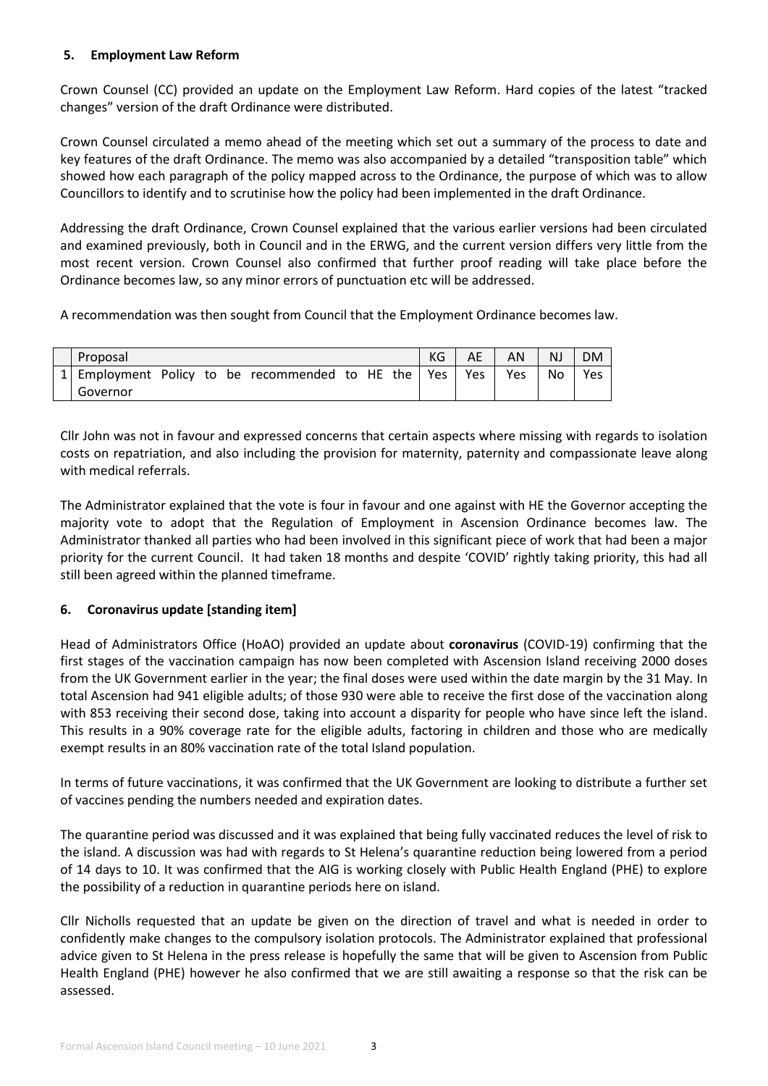# **5. Employment Law Reform**

Crown Counsel (CC) provided an update on the Employment Law Reform. Hard copies of the latest "tracked changes" version of the draft Ordinance were distributed.

Crown Counsel circulated a memo ahead of the meeting which set out a summary of the process to date and key features of the draft Ordinance. The memo was also accompanied by a detailed "transposition table" which showed how each paragraph of the policy mapped across to the Ordinance, the purpose of which was to allow Councillors to identify and to scrutinise how the policy had been implemented in the draft Ordinance.

Addressing the draft Ordinance, Crown Counsel explained that the various earlier versions had been circulated and examined previously, both in Council and in the ERWG, and the current version differs very little from the most recent version. Crown Counsel also confirmed that further proof reading will take place before the Ordinance becomes law, so any minor errors of punctuation etc will be addressed.

A recommendation was then sought from Council that the Employment Ordinance becomes law.

| Proposal |  |  |  |                                                     |  |  |  | KG | AE  | AN         | <b>NJ</b> | <b>DM</b>  |
|----------|--|--|--|-----------------------------------------------------|--|--|--|----|-----|------------|-----------|------------|
|          |  |  |  | 1 Employment Policy to be recommended to HE the Yes |  |  |  |    | Yes | <b>Yes</b> | No        | <b>Yes</b> |
| Governor |  |  |  |                                                     |  |  |  |    |     |            |           |            |

Cllr John was not in favour and expressed concerns that certain aspects where missing with regards to isolation costs on repatriation, and also including the provision for maternity, paternity and compassionate leave along with medical referrals.

The Administrator explained that the vote is four in favour and one against with HE the Governor accepting the majority vote to adopt that the Regulation of Employment in Ascension Ordinance becomes law. The Administrator thanked all parties who had been involved in this significant piece of work that had been a major priority for the current Council. It had taken 18 months and despite 'COVID' rightly taking priority, this had all still been agreed within the planned timeframe.

# **6. Coronavirus update [standing item]**

Head of Administrators Office (HoAO) provided an update about **coronavirus** (COVID-19) confirming that the first stages of the vaccination campaign has now been completed with Ascension Island receiving 2000 doses from the UK Government earlier in the year; the final doses were used within the date margin by the 31 May. In total Ascension had 941 eligible adults; of those 930 were able to receive the first dose of the vaccination along with 853 receiving their second dose, taking into account a disparity for people who have since left the island. This results in a 90% coverage rate for the eligible adults, factoring in children and those who are medically exempt results in an 80% vaccination rate of the total Island population.

In terms of future vaccinations, it was confirmed that the UK Government are looking to distribute a further set of vaccines pending the numbers needed and expiration dates.

The quarantine period was discussed and it was explained that being fully vaccinated reduces the level of risk to the island. A discussion was had with regards to St Helena's quarantine reduction being lowered from a period of 14 days to 10. It was confirmed that the AIG is working closely with Public Health England (PHE) to explore the possibility of a reduction in quarantine periods here on island.

Cllr Nicholls requested that an update be given on the direction of travel and what is needed in order to confidently make changes to the compulsory isolation protocols. The Administrator explained that professional advice given to St Helena in the press release is hopefully the same that will be given to Ascension from Public Health England (PHE) however he also confirmed that we are still awaiting a response so that the risk can be assessed.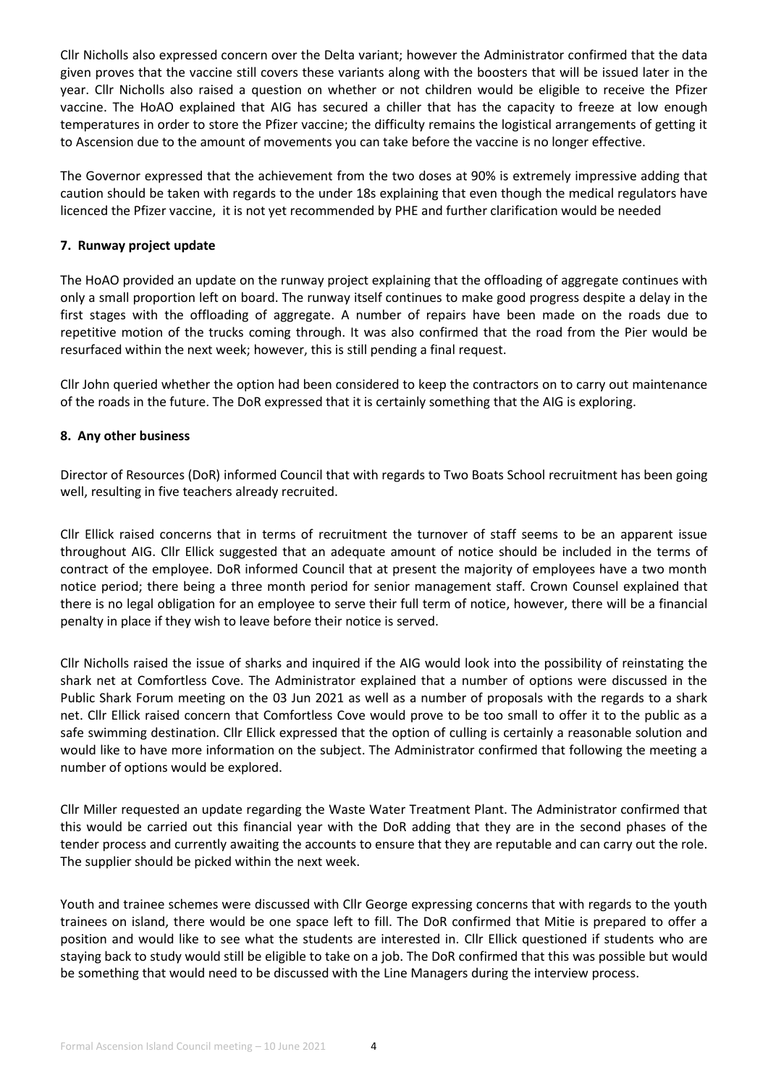Cllr Nicholls also expressed concern over the Delta variant; however the Administrator confirmed that the data given proves that the vaccine still covers these variants along with the boosters that will be issued later in the year. Cllr Nicholls also raised a question on whether or not children would be eligible to receive the Pfizer vaccine. The HoAO explained that AIG has secured a chiller that has the capacity to freeze at low enough temperatures in order to store the Pfizer vaccine; the difficulty remains the logistical arrangements of getting it to Ascension due to the amount of movements you can take before the vaccine is no longer effective.

The Governor expressed that the achievement from the two doses at 90% is extremely impressive adding that caution should be taken with regards to the under 18s explaining that even though the medical regulators have licenced the Pfizer vaccine, it is not yet recommended by PHE and further clarification would be needed

## **7. Runway project update**

The HoAO provided an update on the runway project explaining that the offloading of aggregate continues with only a small proportion left on board. The runway itself continues to make good progress despite a delay in the first stages with the offloading of aggregate. A number of repairs have been made on the roads due to repetitive motion of the trucks coming through. It was also confirmed that the road from the Pier would be resurfaced within the next week; however, this is still pending a final request.

Cllr John queried whether the option had been considered to keep the contractors on to carry out maintenance of the roads in the future. The DoR expressed that it is certainly something that the AIG is exploring.

# **8. Any other business**

Director of Resources (DoR) informed Council that with regards to Two Boats School recruitment has been going well, resulting in five teachers already recruited.

Cllr Ellick raised concerns that in terms of recruitment the turnover of staff seems to be an apparent issue throughout AIG. Cllr Ellick suggested that an adequate amount of notice should be included in the terms of contract of the employee. DoR informed Council that at present the majority of employees have a two month notice period; there being a three month period for senior management staff. Crown Counsel explained that there is no legal obligation for an employee to serve their full term of notice, however, there will be a financial penalty in place if they wish to leave before their notice is served.

Cllr Nicholls raised the issue of sharks and inquired if the AIG would look into the possibility of reinstating the shark net at Comfortless Cove. The Administrator explained that a number of options were discussed in the Public Shark Forum meeting on the 03 Jun 2021 as well as a number of proposals with the regards to a shark net. Cllr Ellick raised concern that Comfortless Cove would prove to be too small to offer it to the public as a safe swimming destination. Cllr Ellick expressed that the option of culling is certainly a reasonable solution and would like to have more information on the subject. The Administrator confirmed that following the meeting a number of options would be explored.

Cllr Miller requested an update regarding the Waste Water Treatment Plant. The Administrator confirmed that this would be carried out this financial year with the DoR adding that they are in the second phases of the tender process and currently awaiting the accounts to ensure that they are reputable and can carry out the role. The supplier should be picked within the next week.

Youth and trainee schemes were discussed with Cllr George expressing concerns that with regards to the youth trainees on island, there would be one space left to fill. The DoR confirmed that Mitie is prepared to offer a position and would like to see what the students are interested in. Cllr Ellick questioned if students who are staying back to study would still be eligible to take on a job. The DoR confirmed that this was possible but would be something that would need to be discussed with the Line Managers during the interview process.